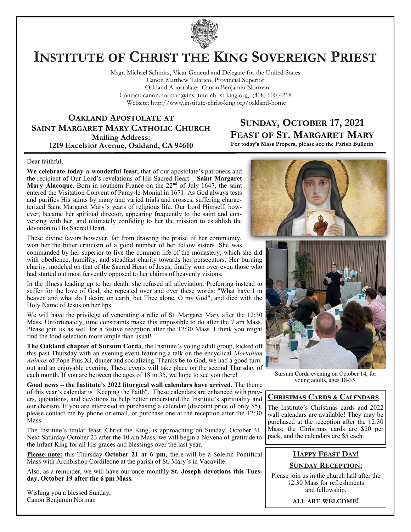

# **INSTITUTE OF CHRIST THE KING SOVEREIGN PRIEST**

Msgr. Michael Schmitz, Vicar General and Delegate for the United States Canon Matthew Talarico, Provincial Superior Oakland Apostolate: Canon Benjamin Norman Contact: canon.norman@institute-christ-king.org, (408) 600-4218 Website: http://www.institute-christ-king.org/oakland-home

**OAKLAND APOSTOLATE AT SAINT MARGARET MARY CATHOLIC CHURCH Mailing Address: 1219 Excelsior Avenue, Oakland, CA 94610**

# **SUNDAY, OCTOBER 17, 2021 FEAST OF ST. MARGARET MARY**

**For today's Mass Propers, please see the Parish Bulletin**

#### Dear faithful,

**We celebrate today a wonderful feast**; that of our apostolate's patroness and the recipient of Our Lord's revelations of His Sacred Heart – **Saint Margaret Mary Alacoque.** Born in southern France on the 22<sup>nd</sup> of July 1647, the saint entered the Visitation Convent of Paray-le-Monial in 1671. As God always tests and purifies His saints by many and varied trials and crosses, suffering characterized Saint Margaret Mary's years of religious life. Our Lord Himself, however, became her spiritual director, appearing frequently to the saint and conversing with her, and ultimately confiding to her the mission to establish the devotion to His Sacred Heart.

These divine favors however, far from drawing the praise of her community, won her the bitter criticism of a good number of her fellow sisters. She was

commanded by her superior to live the common life of the monastery, which she did with obedience, humility, and steadfast charity towards her persecutors. Her burning charity, modeled on that of the Sacred Heart of Jesus, finally won over even those who had started out most fervently opposed to her claims of heavenly visions.

In the illness leading up to her death, she refused all alleviation. Preferring instead to suffer for the love of God, she repeated over and over these words: "What have I in heaven and what do I desire on earth, but Thee alone, O my God", and died with the Holy Name of Jesus on her lips.

We will have the privilege of venerating a relic of St. Margaret Mary after the 12:30 Mass. Unfortunately, time constraints make this impossible to do after the 7 am Mass. Please join us as well for a festive reception after the 12:30 Mass. I think you might find the food selection more ample than usual!

**The Oakland chapter of Sursum Corda**, the Institute's young adult group, kicked off this past Thursday with an evening event featuring a talk on the encyclical *Mortalium Animos* of Pope Pius XI, dinner and socializing. Thanks be to God, we had a good turnout and an enjoyable evening. These events will take place on the second Thursday of each month. If you are between the ages of 18 to 35, we hope to see you there!

**Good news – the Institute's 2022 liturgical wall calendars have arrived.** The theme of this year's calendar is "Keeping the Faith". These calendars are enhanced with prayers, quotations, and devotions to help better understand the Institute's spirituality and our charism. If you are interested in purchasing a calendar (discount price of only \$5), please contact me by phone or email, or purchase one at the reception after the 12:30 Mass.

The Institute's titular feast, Christ the King, is approaching on Sunday, October 31. Next Saturday October 23 after the 10 am Mass, we will begin a Novena of gratitude to the Infant King for all His graces and blessings over the last year.

**Please note:** this Thursday **October 21 at 6 pm,** there will be a Solemn Pontifical Mass with Archbishop Cordileone at the parish of St. Mary's in Vacaville.

Also, as a reminder, we will have our once-monthly **St. Joseph devotions this Tuesday, October 19 after the 6 pm Mass.** 

Wishing you a blessed Sunday, Canon Benjamin Norman





Sursum Corda evening on October 14, for young adults, ages 18-35.

# **Christmas Cards & Calendars**

The Institute's Christmas cards and 2022 wall calendars are available! They may be purchased at the reception after the 12:30 Mass: the Christmas cards are \$20 per pack, and the calendars are \$5 each.

# **HAPPY FEAST DAY!**

**SUNDAY RECEPTION:**

Please join us in the church hall after the 12:30 Mass for refreshments and fellowship.

**ALL ARE WELCOME!**